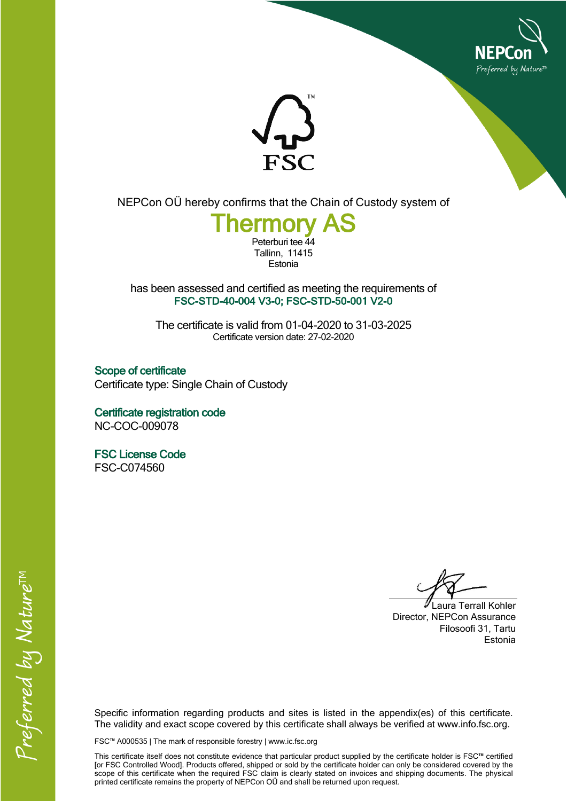



NEPCon OÜ hereby confirms that the Chain of Custody system of

## **Thermory AS** Peterburi tee 44

Tallinn, 11415 Estonia

has been assessed and certified as meeting the requirements of **FSC-STD-40-004 V3-0; FSC-STD-50-001 V2-0**

The certificate is valid from 01-04-2020 to 31-03-2025 Certificate version date: 27-02-2020

**Scope of certificate** Certificate type: Single Chain of Custody

**Certificate registration code** NC-COC-009078

**FSC License Code** FSC-C074560

Laura Terrall Kohler Director, NEPCon Assurance Filosoofi 31, Tartu Estonia

Specific information regarding products and sites is listed in the appendix(es) of this certificate. The validity and exact scope covered by this certificate shall always be verified at www.info.fsc.org.

FSC™ A000535 | The mark of responsible forestry | www.ic.fsc.org

This certificate itself does not constitute evidence that particular product supplied by the certificate holder is FSC™ certified [or FSC Controlled Wood]. Products offered, shipped or sold by the certificate holder can only be considered covered by the scope of this certificate when the required FSC claim is clearly stated on invoices and shipping documents. The physical printed certificate remains the property of NEPCon OÜ and shall be returned upon request.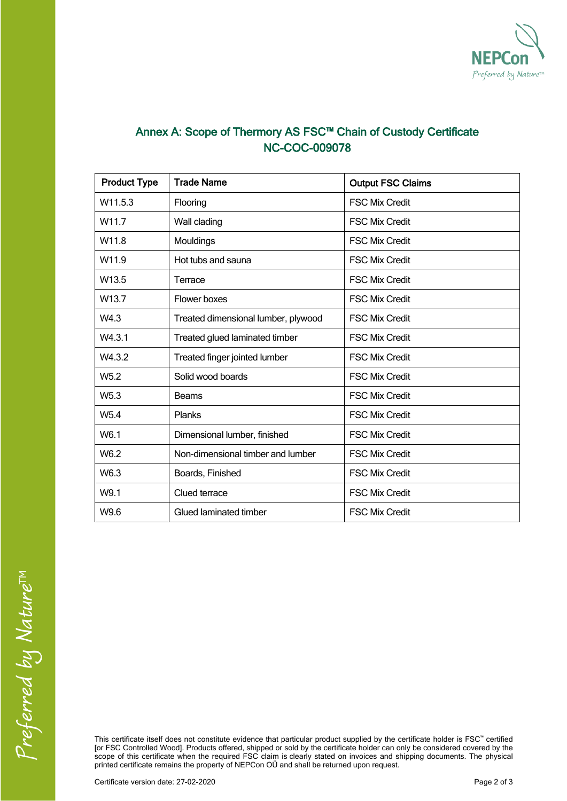

## **Annex A: Scope of Thermory AS FSC™ Chain of Custody Certificate NC-COC-009078**

| <b>Product Type</b> | <b>Trade Name</b>                   | <b>Output FSC Claims</b> |  |
|---------------------|-------------------------------------|--------------------------|--|
| W11.5.3             | Flooring                            | <b>FSC Mix Credit</b>    |  |
| W <sub>11.7</sub>   | Wall clading                        | <b>FSC Mix Credit</b>    |  |
| W11.8               | Mouldings                           | <b>FSC Mix Credit</b>    |  |
| W <sub>11.9</sub>   | Hot tubs and sauna                  | <b>FSC Mix Credit</b>    |  |
| W <sub>13.5</sub>   | Terrace                             | <b>FSC Mix Credit</b>    |  |
| W <sub>13.7</sub>   | Flower boxes                        | <b>FSC Mix Credit</b>    |  |
| W4.3                | Treated dimensional lumber, plywood | <b>FSC Mix Credit</b>    |  |
| W4.3.1              | Treated glued laminated timber      | <b>FSC Mix Credit</b>    |  |
| W4.3.2              | Treated finger jointed lumber       | <b>FSC Mix Credit</b>    |  |
| W <sub>5.2</sub>    | Solid wood boards                   | <b>FSC Mix Credit</b>    |  |
| W <sub>5.3</sub>    | <b>Beams</b>                        | <b>FSC Mix Credit</b>    |  |
| W <sub>5.4</sub>    | Planks                              | <b>FSC Mix Credit</b>    |  |
| W6.1                | Dimensional lumber, finished        | <b>FSC Mix Credit</b>    |  |
| W6.2                | Non-dimensional timber and lumber   | <b>FSC Mix Credit</b>    |  |
| W6.3                | Boards, Finished                    | <b>FSC Mix Credit</b>    |  |
| W9.1                | Clued terrace                       | <b>FSC Mix Credit</b>    |  |
| W9.6                | Glued laminated timber              | <b>FSC Mix Credit</b>    |  |

Preferred by Nature<sup>TM</sup>

This certificate itself does not constitute evidence that particular product supplied by the certificate holder is FSC™ certified [or FSC Controlled Wood]. Products offered, shipped or sold by the certificate holder can only be considered covered by the scope of this certificate when the required FSC claim is clearly stated on invoices and shipping documents. The physical printed certificate remains the property of NEPCon OÜ and shall be returned upon request.